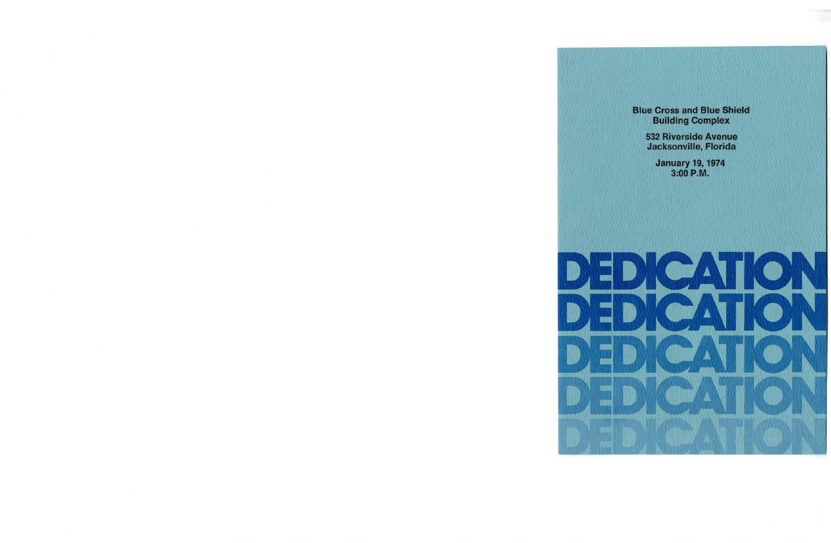Blue Cross and Blue Shield Building Complex

> 532 Riverside Avenue Jacksonville, Florida

> > January 19, 1974 3:00 **P.M.**

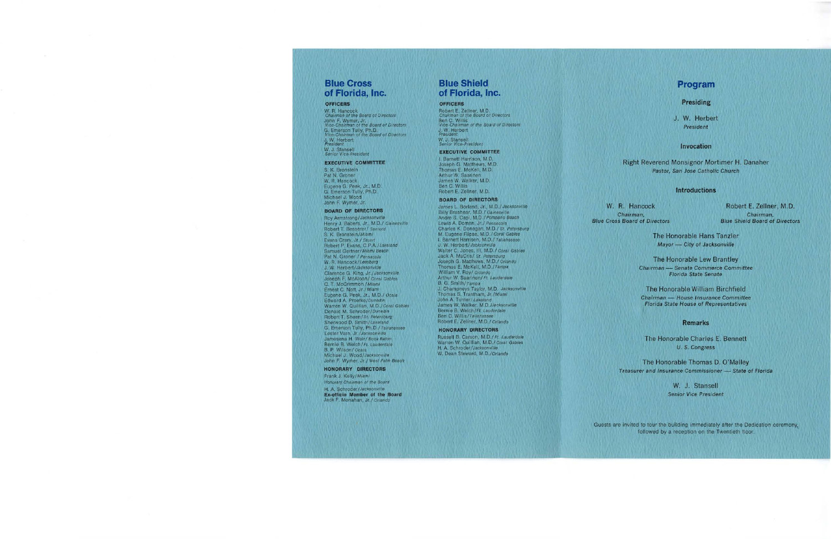# **Blue Cross of Florida, Inc.**

#### **OFFICERS**

W. R. Hancock Chairman of the Board of Directors John F. Wymer, Jr. Vice-Chairman of the Board of Directors G. Emerson Tully, Ph.D. Vice-Chairman of the Board of Directors J. W. Herbert President W. J. Stansell Senior Vice-President

## **EXECUTIVE COMMITTEE**

S. K. Bronstein Pat N. Groner W. R. Hancock Eugene G. Peek, Jr., M.D. G. Emerson Tully, Ph.D. Michael J. Wood John F. Wymer, Jr.

#### **BOARD OF DIRECTORS** '

Roy Armstrong/Jacksonville Henry J. Babers, Jr., M.D./ Gainesville Robert T. Besserer/ Sanford S. K. Bronstein/Miami Evans Crary, Jr./ Stuart Robert P. Evans, C.P.A./Lakeland Samuel Gertner/Miami Beach Pat **N.** Groner / Pensacola W. R. Hancock/ Leesburg J. W. Herbert/Jacksonville Clarence G. King, Jr./Jacksonville Joseph F. McAloon/ Coral Gables C. T. McCrimmon / Miami Ernest C. Nott, Jr./ Miami Eugene G. Peek, Jr., M.D./ Ocala Edward A. Proefke/Dunedin Warren W. Quillian, M.D./Coral Gables Donald **M.** Schroder/Dunedin Robert T. Sheen/ St. Petersburg Sherwood D. Smith/Lakeland G. Emerson Tully, Ph.D./ Tallahassee Lester Varn, Jr./Jacksonville Jamesena H. Weir/ Boca Raton Bernie B. Welch/Ft. Lauderdale B. P. Wilson/ Ocala Michael J. Wood/Jacksonville John F. Wymer, Jr./ West Palm Beach

#### **HONORARY DIRECTORS**

Frank J. Kelly/Miami Honorary Chairman of the Board

H. A. Schroder/Jacksonville **Ex-officio Member of the Board**  Jack F. Monahan, Jr./ Orlando

# **Blue Shield of Florida, Inc.**

#### **OFFICERS**

Robert E. Zellner, M.D. Chairman of the Board of Directors Ben C. Willis Vice-Chairman of the Board of Directors J. W. Herbert President W. J. Stansell Senior Vice-President

## **EXECUTIVE COMMITTEE**

I. Barnett Harrison, M.D. Joseph G. Matthews, M.D. Thomas E. McKell, M.D. Arthur W. Saarinen James W. Walker, M.D. Ben C. Willis Robert E. Zellner, M.D.

#### **BOARD OF DIRECTORS**

James L. Borland, Jr., M.D./ Jacksonville Billy Brashear, M.D./ Gainesville Andre S. Capi, M.D./ Pompano Beach Lewis A. Doman, Jr./ Pensacola Charles K. Donegan, M.D./ St. Petersburg **M.** Eugene Flipse, M.D./ Coral Gables I. Barnett Harrison, M.D./ Tallahassee J. W. Herbert/ Jacksonville Walter C. Jones, Ill, M.D./ Coral Gables Jack **A.** MaCris/ St. Petersburg Joseph G. Matthews, M.D./ Orlando Thomas E. McKell, M .D./Tampa William V. Roy/ Orlando Arthur W. Saarinen/ Ft. Lauderdale B. G. Smith/Tampa J. Champneys Taylor, **M.D.** Jacksonvllle Thomas S. Trantham, Jr./Miami John A. Turner/ Lakeland James **W.** Walker, M.D./Jacksonvil/e Bernie B. Welch/Ft. Lauderdale Ben C. Willis/Tallahassee Robert E. Zellner, M.D./ Orlando

## **HONORARY DIRECTORS**

Russell B. Carson, M.D./ Ft. Lauderdale Warren W. Quillian, M.D./ Coral Gables H. A. Schroder/Jacksonville W. Dean Steward, M.D./Orlando

## **Program**

### **Presiding**

J. W. Herbert President

### **Invocation**

Right Reverend Monsignor Mortimer H. Danaher Pastor, San Jose Catholic Church

## **Introductions**

W. R. Hancock **Chairman,<br>Blue Cross Board of Directors** 

Robert E. Zellner, M.D. Chairman, **Blue Shield Board of Directors** 

The Honorable Hans Tanzler **Mayor — City of Jacksonville** 

The Honorable Lew Brantley **Chairman** - **Senate Commerce Committee Florida State Senate** 

The Honorable William Birchfield **Chairman** - **House Insurance Committee Florida State House of Representatives** 

#### **Remarks**

The Honorable Charles E. Bennett **U.S. Congress** 

The Honorable Thomas D. O'Malley **Treasurer and Insurance Commissioner - State of Florida** 

> W. J. Stansell **Senior Vice President**

Guests are invited to tour the building immediately after the Dedication ceremony, followed by a reception on the Twentieth floor.